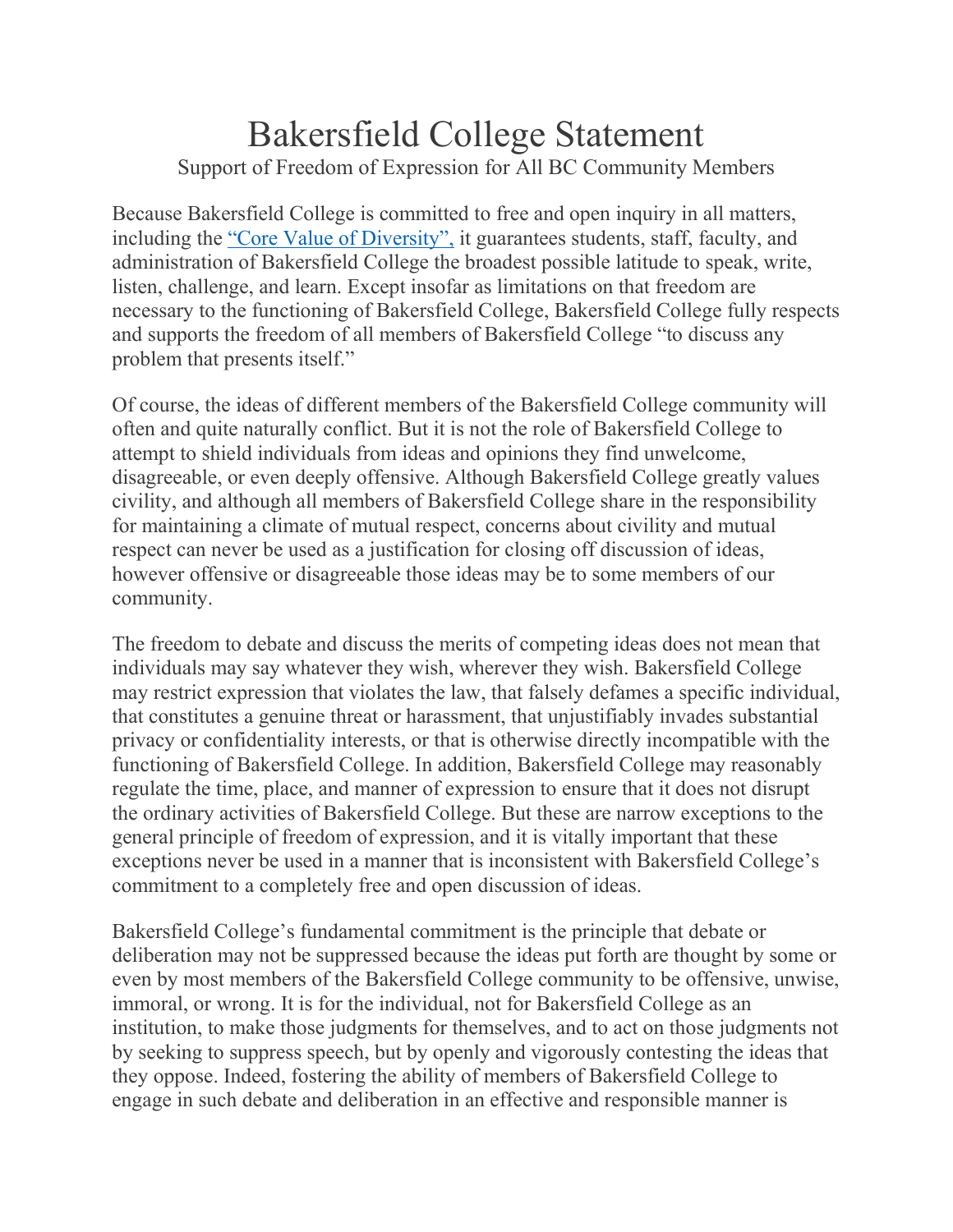## Bakersfield College Statement Support of Freedom of Expression for All BC Community Members

Because Bakersfield College is committed to free and open inquiry in all matters, including the ["Core Value of Diversity",](https://www.bakersfieldcollege.edu/about) it guarantees students, staff, faculty, and administration of Bakersfield College the broadest possible latitude to speak, write, listen, challenge, and learn. Except insofar as limitations on that freedom are necessary to the functioning of Bakersfield College, Bakersfield College fully respects and supports the freedom of all members of Bakersfield College "to discuss any problem that presents itself."

Of course, the ideas of different members of the Bakersfield College community will often and quite naturally conflict. But it is not the role of Bakersfield College to attempt to shield individuals from ideas and opinions they find unwelcome, disagreeable, or even deeply offensive. Although Bakersfield College greatly values civility, and although all members of Bakersfield College share in the responsibility for maintaining a climate of mutual respect, concerns about civility and mutual respect can never be used as a justification for closing off discussion of ideas, however offensive or disagreeable those ideas may be to some members of our community.

The freedom to debate and discuss the merits of competing ideas does not mean that individuals may say whatever they wish, wherever they wish. Bakersfield College may restrict expression that violates the law, that falsely defames a specific individual, that constitutes a genuine threat or harassment, that unjustifiably invades substantial privacy or confidentiality interests, or that is otherwise directly incompatible with the functioning of Bakersfield College. In addition, Bakersfield College may reasonably regulate the time, place, and manner of expression to ensure that it does not disrupt the ordinary activities of Bakersfield College. But these are narrow exceptions to the general principle of freedom of expression, and it is vitally important that these exceptions never be used in a manner that is inconsistent with Bakersfield College's commitment to a completely free and open discussion of ideas.

Bakersfield College's fundamental commitment is the principle that debate or deliberation may not be suppressed because the ideas put forth are thought by some or even by most members of the Bakersfield College community to be offensive, unwise, immoral, or wrong. It is for the individual, not for Bakersfield College as an institution, to make those judgments for themselves, and to act on those judgments not by seeking to suppress speech, but by openly and vigorously contesting the ideas that they oppose. Indeed, fostering the ability of members of Bakersfield College to engage in such debate and deliberation in an effective and responsible manner is